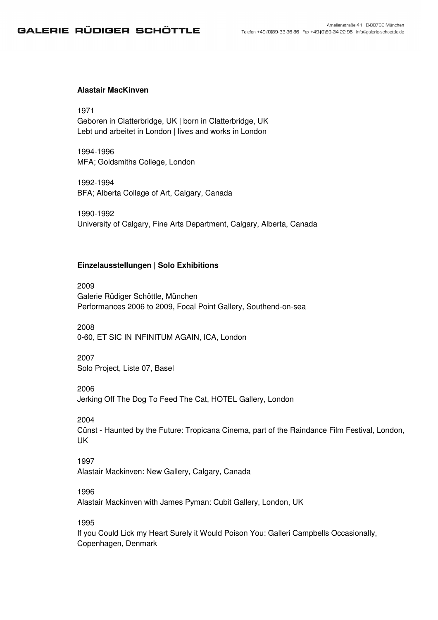# GALERIE RÜDIGER SCHÖTTLE

### **Alastair MacKinven**

1971

Geboren in Clatterbridge, UK | born in Clatterbridge, UK Lebt und arbeitet in London | lives and works in London

1994-1996 MFA; Goldsmiths College, London

1992-1994 BFA; Alberta Collage of Art, Calgary, Canada

1990-1992 University of Calgary, Fine Arts Department, Calgary, Alberta, Canada

#### **Einzelausstellungen | Solo Exhibitions**

2009 Galerie Rüdiger Schöttle, München Performances 2006 to 2009, Focal Point Gallery, Southend-on-sea

2008 0-60, ET SIC IN INFINITUM AGAIN, ICA, London

2007 Solo Project, Liste 07, Basel

2006

Jerking Off The Dog To Feed The Cat, HOTEL Gallery, London

2004

Cünst - Haunted by the Future: Tropicana Cinema, part of the Raindance Film Festival, London, UK

#### 1997

Alastair Mackinven: New Gallery, Calgary, Canada

## 1996

Alastair Mackinven with James Pyman: Cubit Gallery, London, UK

1995

If you Could Lick my Heart Surely it Would Poison You: Galleri Campbells Occasionally, Copenhagen, Denmark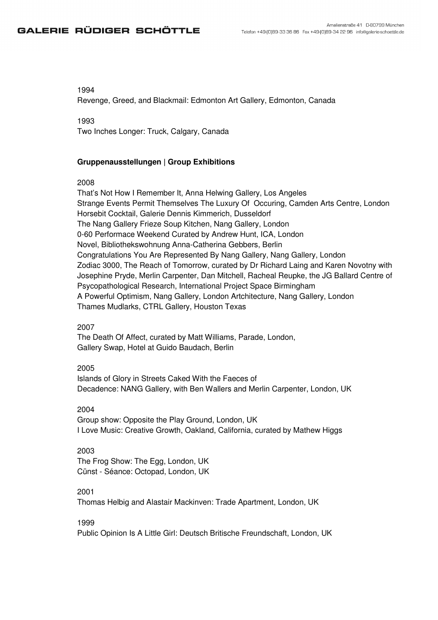# GALERIE RÜDIGER SCHÖTTLE

## 1994

Revenge, Greed, and Blackmail: Edmonton Art Gallery, Edmonton, Canada

1993 Two Inches Longer: Truck, Calgary, Canada

## **Gruppenausstellungen | Group Exhibitions**

#### 2008

That's Not How I Remember It, Anna Helwing Gallery, Los Angeles Strange Events Permit Themselves The Luxury Of Occuring, Camden Arts Centre, London Horsebit Cocktail, Galerie Dennis Kimmerich, Dusseldorf The Nang Gallery Frieze Soup Kitchen, Nang Gallery, London 0-60 Performace Weekend Curated by Andrew Hunt, ICA, London Novel, Bibliothekswohnung Anna-Catherina Gebbers, Berlin Congratulations You Are Represented By Nang Gallery, Nang Gallery, London Zodiac 3000, The Reach of Tomorrow, curated by Dr Richard Laing and Karen Novotny with Josephine Pryde, Merlin Carpenter, Dan Mitchell, Racheal Reupke, the JG Ballard Centre of Psycopathological Research, International Project Space Birmingham A Powerful Optimism, Nang Gallery, London Artchitecture, Nang Gallery, London Thames Mudlarks, CTRL Gallery, Houston Texas

## 2007

The Death Of Affect, curated by Matt Williams, Parade, London, Gallery Swap, Hotel at Guido Baudach, Berlin

#### 2005

Islands of Glory in Streets Caked With the Faeces of Decadence: NANG Gallery, with Ben Wallers and Merlin Carpenter, London, UK

### 2004

Group show: Opposite the Play Ground, London, UK I Love Music: Creative Growth, Oakland, California, curated by Mathew Higgs

#### 2003

The Frog Show: The Egg, London, UK Cünst - Séance: Octopad, London, UK

# 2001

Thomas Helbig and Alastair Mackinven: Trade Apartment, London, UK

#### 1999

Public Opinion Is A Little Girl: Deutsch Britische Freundschaft, London, UK